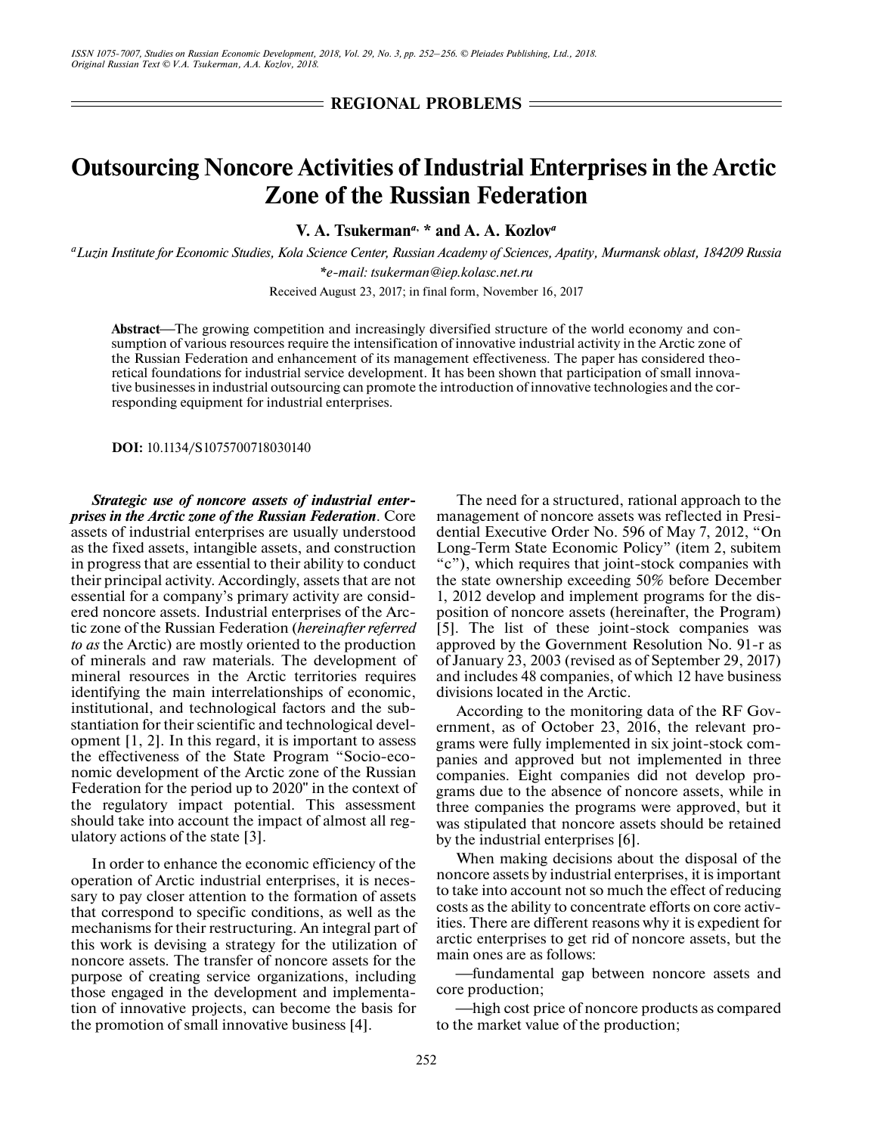**REGIONAL PROBLEMS**

## **Outsourcing Noncore Activities of Industrial Enterprises in the Arctic Zone of the Russian Federation**

**V. A. Tsukerman***a***, \* and A. A. Kozlov***<sup>a</sup>*

*aLuzin Institute for Economic Studies, Kola Science Center, Russian Academy of Sciences, Apatity, Murmansk oblast, 184209 Russia \*e-mail: tsukerman@iep.kolasc.net.ru*

Received August 23, 2017; in final form, November 16, 2017

Abstract—The growing competition and increasingly diversified structure of the world economy and consumption of various resources require the intensification of innovative industrial activity in the Arctic zone of the Russian Federation and enhancement of its management effectiveness. The paper has considered theoretical foundations for industrial service development. It has been shown that participation of small innovative businesses in industrial outsourcing can promote the introduction of innovative technologies and the corresponding equipment for industrial enterprises.

**DOI:** 10.1134/S1075700718030140

*Strategic use of noncore assets of industrial enterprises in the Arctic zone of the Russian Federation*. Core assets of industrial enterprises are usually understood as the fixed assets, intangible assets, and construction in progress that are essential to their ability to conduct their principal activity. Accordingly, assets that are not essential for a company's primary activity are considered noncore assets. Industrial enterprises of the Arctic zone of the Russian Federation (*hereinafter referred to as* the Arctic) are mostly oriented to the production of minerals and raw materials. The development of mineral resources in the Arctic territories requires identifying the main interrelationships of economic, institutional, and technological factors and the substantiation for their scientific and technological development [1, 2]. In this regard, it is important to assess the effectiveness of the State Program "Socio-economic development of the Arctic zone of the Russian Federation for the period up to 2020" in the context of the regulatory impact potential. This assessment should take into account the impact of almost all regulatory actions of the state [3].

In order to enhance the economic efficiency of the operation of Arctic industrial enterprises, it is necessary to pay closer attention to the formation of assets that correspond to specific conditions, as well as the mechanisms for their restructuring. An integral part of this work is devising a strategy for the utilization of noncore assets. The transfer of noncore assets for the purpose of creating service organizations, including those engaged in the development and implementation of innovative projects, can become the basis for the promotion of small innovative business [4].

The need for a structured, rational approach to the management of noncore assets was reflected in Presidential Executive Order No. 596 of May 7, 2012, "On Long-Term State Economic Policy" (item 2, subitem "c"), which requires that joint-stock companies with the state ownership exceeding 50% before December 1, 2012 develop and implement programs for the disposition of noncore assets (hereinafter, the Program) [5]. The list of these joint-stock companies was approved by the Government Resolution No. 91-r as of January 23, 2003 (revised as of September 29, 2017) and includes 48 companies, of which 12 have business divisions located in the Arctic.

According to the monitoring data of the RF Government, as of October 23, 2016, the relevant programs were fully implemented in six joint-stock companies and approved but not implemented in three companies. Eight companies did not develop programs due to the absence of noncore assets, while in three companies the programs were approved, but it was stipulated that noncore assets should be retained by the industrial enterprises [6].

When making decisions about the disposal of the noncore assets by industrial enterprises, it is important to take into account not so much the effect of reducing costs as the ability to concentrate efforts on core activities. There are different reasons why it is expedient for arctic enterprises to get rid of noncore assets, but the main ones are as follows:

⎯fundamental gap between noncore assets and core production;

high cost price of noncore products as compared to the market value of the production;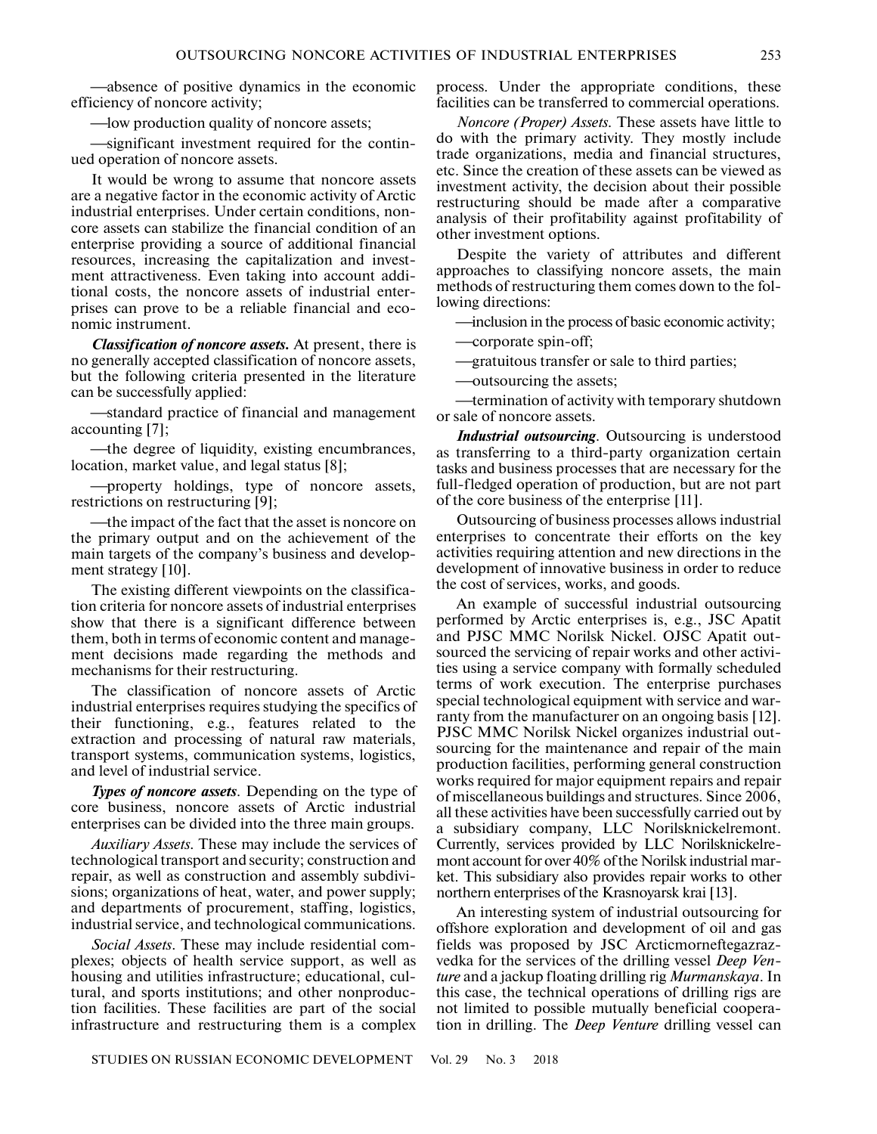—absence of positive dynamics in the economic efficiency of noncore activity;

—low production quality of noncore assets;

 $\frac{1}{\sqrt{2}}$  significant investment required for the continued operation of noncore assets.

It would be wrong to assume that noncore assets are a negative factor in the economic activity of Arctic industrial enterprises. Under certain conditions, noncore assets can stabilize the financial condition of an enterprise providing a source of additional financial resources, increasing the capitalization and investment attractiveness. Even taking into account additional costs, the noncore assets of industrial enterprises can prove to be a reliable financial and economic instrument.

*Classification of noncore assets.* At present, there is no generally accepted classification of noncore assets, but the following criteria presented in the literature can be successfully applied:

⎯standard practice of financial and management accounting [7];

the degree of liquidity, existing encumbrances, location, market value, and legal status [8];

⎯property holdings, type of noncore assets, restrictions on restructuring [9];

the impact of the fact that the asset is noncore on the primary output and on the achievement of the main targets of the company's business and development strategy [10].

The existing different viewpoints on the classification criteria for noncore assets of industrial enterprises show that there is a significant difference between them, both in terms of economic content and management decisions made regarding the methods and mechanisms for their restructuring.

The classification of noncore assets of Arctic industrial enterprises requires studying the specifics of their functioning, e.g., features related to the extraction and processing of natural raw materials, transport systems, communication systems, logistics, and level of industrial service.

*Types of noncore assets*. Depending on the type of core business, noncore assets of Arctic industrial enterprises can be divided into the three main groups.

*Auxiliary Assets.* These may include the services of technological transport and security; construction and repair, as well as construction and assembly subdivisions; organizations of heat, water, and power supply; and departments of procurement, staffing, logistics, industrial service, and technological communications.

*Social Assets*. These may include residential complexes; objects of health service support, as well as housing and utilities infrastructure; educational, cultural, and sports institutions; and other nonproduction facilities. These facilities are part of the social infrastructure and restructuring them is a complex process. Under the appropriate conditions, these facilities can be transferred to commercial operations.

*Noncore (Proper) Assets.* These assets have little to do with the primary activity. They mostly include trade organizations, media and financial structures, etc. Since the creation of these assets can be viewed as investment activity, the decision about their possible restructuring should be made after a comparative analysis of their profitability against profitability of other investment options.

Despite the variety of attributes and different approaches to classifying noncore assets, the main methods of restructuring them comes down to the following directions:

⎯inclusion in the process of basic economic activity;

⎯corporate spin-off;

⎯gratuitous transfer or sale to third parties;

⎯outsourcing the assets;

⎯termination of activity with temporary shutdown or sale of noncore assets.

*Industrial outsourcing*. Outsourcing is understood as transferring to a third-party organization certain tasks and business processes that are necessary for the full-fledged operation of production, but are not part of the core business of the enterprise [11].

Outsourcing of business processes allows industrial enterprises to concentrate their efforts on the key activities requiring attention and new directions in the development of innovative business in order to reduce the cost of services, works, and goods.

An example of successful industrial outsourcing performed by Arctic enterprises is, e.g., JSC Apatit and PJSC MMC Norilsk Nickel. OJSC Apatit outsourced the servicing of repair works and other activities using a service company with formally scheduled terms of work execution. The enterprise purchases special technological equipment with service and warranty from the manufacturer on an ongoing basis [12]. PJSC MMC Norilsk Nickel organizes industrial outsourcing for the maintenance and repair of the main production facilities, performing general construction works required for major equipment repairs and repair of miscellaneous buildings and structures. Since 2006, all these activities have been successfully carried out by a subsidiary company, LLC Norilsknickelremont. Currently, services provided by LLC Norilsknickelremont account for over 40% of the Norilsk industrial market. This subsidiary also provides repair works to other northern enterprises of the Krasnoyarsk krai [13].

An interesting system of industrial outsourcing for offshore exploration and development of oil and gas fields was proposed by JSC Arcticmorneftegazrazvedka for the services of the drilling vessel *Deep Venture* and a jackup floating drilling rig *Murmanskaya*. In this case, the technical operations of drilling rigs are not limited to possible mutually beneficial cooperation in drilling. The *Deep Venture* drilling vessel can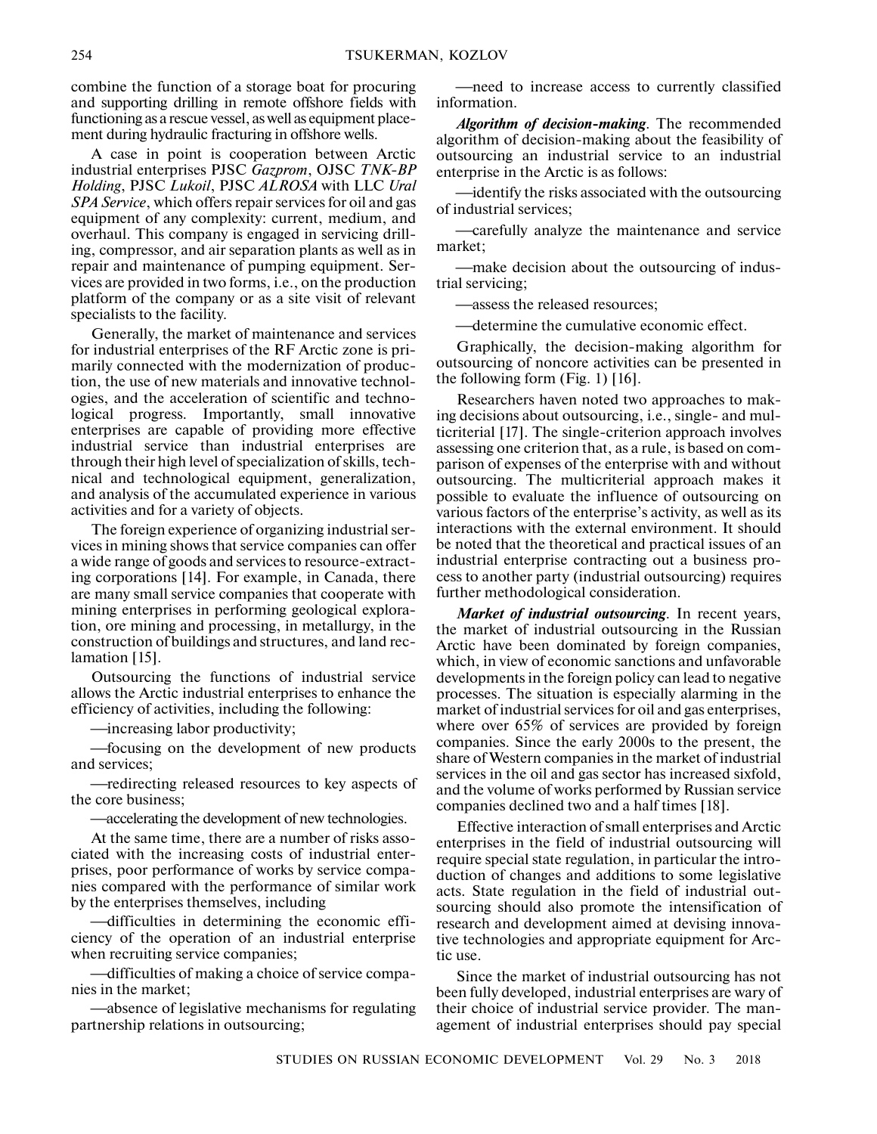combine the function of a storage boat for procuring and supporting drilling in remote offshore fields with functioning as a rescue vessel, as well as equipment placement during hydraulic fracturing in offshore wells.

A case in point is cooperation between Arctic industrial enterprises PJSC *Gazprom*, OJSC *TNK-BP Holding*, PJSC *Lukoil*, PJSC *ALROSA* with LLC *Ural SPA Service*, which offers repair services for oil and gas equipment of any complexity: current, medium, and overhaul. This company is engaged in servicing drilling, compressor, and air separation plants as well as in repair and maintenance of pumping equipment. Services are provided in two forms, i.e., on the production platform of the company or as a site visit of relevant specialists to the facility.

Generally, the market of maintenance and services for industrial enterprises of the RF Arctic zone is primarily connected with the modernization of production, the use of new materials and innovative technologies, and the acceleration of scientific and technological progress. Importantly, small innovative enterprises are capable of providing more effective industrial service than industrial enterprises are through their high level of specialization of skills, technical and technological equipment, generalization, and analysis of the accumulated experience in various activities and for a variety of objects.

The foreign experience of organizing industrial services in mining shows that service companies can offer a wide range of goods and services to resource-extracting corporations [14]. For example, in Canada, there are many small service companies that cooperate with mining enterprises in performing geological exploration, ore mining and processing, in metallurgy, in the construction of buildings and structures, and land reclamation [15].

Outsourcing the functions of industrial service allows the Arctic industrial enterprises to enhance the efficiency of activities, including the following:

 $\equiv$ increasing labor productivity;

⎯focusing on the development of new products and services;

⎯redirecting released resources to key aspects of the core business;

—accelerating the development of new technologies.

At the same time, there are a number of risks associated with the increasing costs of industrial enterprises, poor performance of works by service companies compared with the performance of similar work by the enterprises themselves, including

⎯difficulties in determining the economic efficiency of the operation of an industrial enterprise when recruiting service companies;

 $-dif$  ficulties of making a choice of service companies in the market;

—absence of legislative mechanisms for regulating partnership relations in outsourcing;

- need to increase access to currently classified information.

*Algorithm of decision-making*. The recommended algorithm of decision-making about the feasibility of outsourcing an industrial service to an industrial enterprise in the Arctic is as follows:

⎯identify the risks associated with the outsourcing of industrial services;

⎯carefully analyze the maintenance and service market;

—make decision about the outsourcing of industrial servicing;

 $-$ assess the released resources;

— determine the cumulative economic effect.

Graphically, the decision-making algorithm for outsourcing of noncore activities can be presented in the following form  $(Fig. 1)$  [16].

Researchers haven noted two approaches to making decisions about outsourcing, i.e., single- and multicriterial [17]. The single-criterion approach involves assessing one criterion that, as a rule, is based on comparison of expenses of the enterprise with and without outsourcing. The multicriterial approach makes it possible to evaluate the influence of outsourcing on various factors of the enterprise's activity, as well as its interactions with the external environment. It should be noted that the theoretical and practical issues of an industrial enterprise contracting out a business process to another party (industrial outsourcing) requires further methodological consideration.

*Market of industrial outsourcing*. In recent years, the market of industrial outsourcing in the Russian Arctic have been dominated by foreign companies, which, in view of economic sanctions and unfavorable developments in the foreign policy can lead to negative processes. The situation is especially alarming in the market of industrial services for oil and gas enterprises, where over 65% of services are provided by foreign companies. Since the early 2000s to the present, the share of Western companies in the market of industrial services in the oil and gas sector has increased sixfold, and the volume of works performed by Russian service companies declined two and a half times [18].

Effective interaction of small enterprises and Arctic enterprises in the field of industrial outsourcing will require special state regulation, in particular the introduction of changes and additions to some legislative acts. State regulation in the field of industrial outsourcing should also promote the intensification of research and development aimed at devising innovative technologies and appropriate equipment for Arctic use.

Since the market of industrial outsourcing has not been fully developed, industrial enterprises are wary of their choice of industrial service provider. The management of industrial enterprises should pay special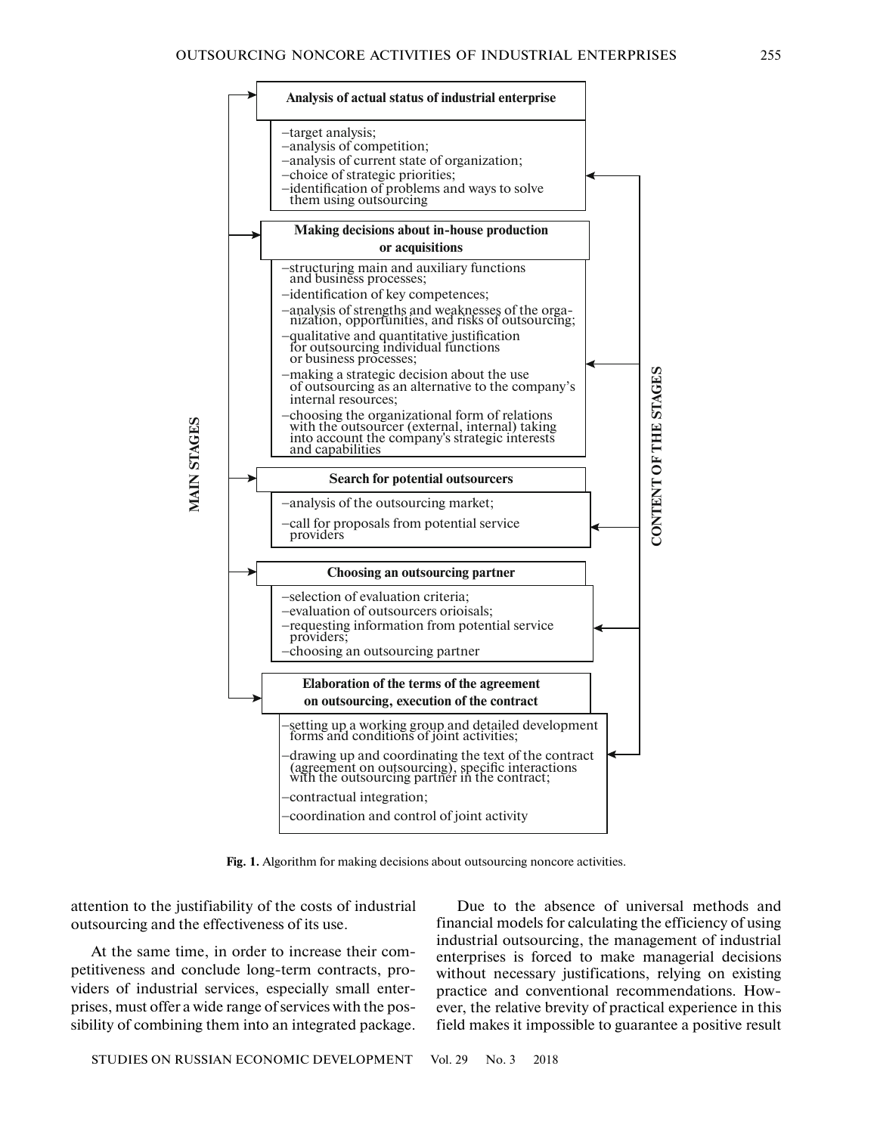

**Fig. 1.** Algorithm for making decisions about outsourcing noncore activities.

attention to the justifiability of the costs of industrial outsourcing and the effectiveness of its use.

At the same time, in order to increase their competitiveness and conclude long-term contracts, providers of industrial services, especially small enterprises, must offer a wide range of services with the possibility of combining them into an integrated package.

Due to the absence of universal methods and financial models for calculating the efficiency of using industrial outsourcing, the management of industrial enterprises is forced to make managerial decisions without necessary justifications, relying on existing practice and conventional recommendations. However, the relative brevity of practical experience in this field makes it impossible to guarantee a positive result